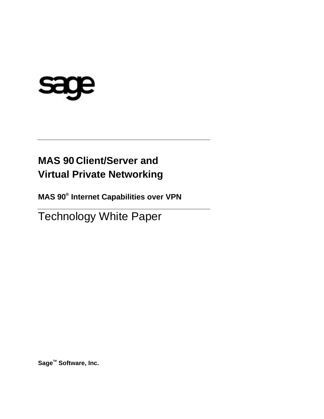# sage

## **MAS 90 Client/Server and Virtual Private Networking**

**MAS 90® Internet Capabilities over VPN**

Technology White Paper

**SageTM Software, Inc.**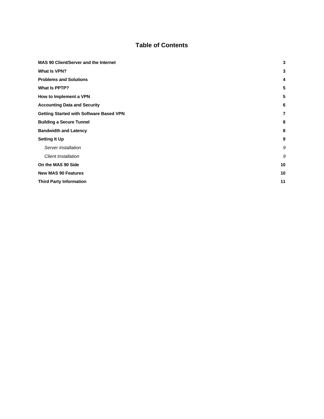#### **Table of Contents**

| <b>MAS 90 Client/Server and the Internet</b>   | 3  |
|------------------------------------------------|----|
| What Is VPN?                                   | 3  |
| <b>Problems and Solutions</b>                  | 4  |
| What Is PPTP?                                  | 5  |
| How to Implement a VPN                         | 5  |
| <b>Accounting Data and Security</b>            | 6  |
| <b>Getting Started with Software Based VPN</b> | 7  |
| <b>Building a Secure Tunnel</b>                | 8  |
| <b>Bandwidth and Latency</b>                   | 8  |
| <b>Setting It Up</b>                           | 9  |
| Server Installation                            | 9  |
| <b>Client Installation</b>                     | 9  |
| On the MAS 90 Side                             | 10 |
| <b>New MAS 90 Features</b>                     | 10 |
| <b>Third Party Information</b>                 | 11 |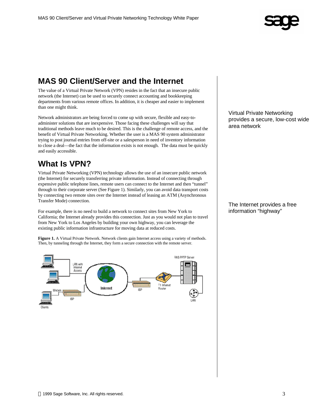

#### **MAS 90 Client/Server and the Internet**

The value of a Virtual Private Network (VPN) resides in the fact that an insecure public network (the Internet) can be used to securely connect accounting and bookkeeping departments from various remote offices. In addition, it is cheaper and easier to implement than one might think.

Network administrators are being forced to come up with secure, flexible and easy-toadminister solutions that are inexpensive. Those facing these challenges will say that traditional methods leave much to be desired. This is the challenge of remote access, and the benefit of Virtual Private Networking. Whether the user is a MAS 90 system administrator trying to post journal entries from off-site or a salesperson in need of inventory information to close a deal—the fact that the information exists is not enough. The data must be quickly and easily accessible.

#### **What Is VPN?**

Virtual Private Networking (VPN) technology allows the use of an insecure public network (the Internet) for securely transferring private information. Instead of connecting through expensive public telephone lines, remote users can connect to the Internet and then "tunnel" through to their corporate server (See Figure 1). Similarly, you can avoid data transport costs by connecting two remote sites over the Internet instead of leasing an ATM (Asynchronous Transfer Mode) connection.

For example, there is no need to build a network to connect sites from New York to California; the Internet already provides this connection. Just as you would not plan to travel from New York to Los Angeles by building your own highway, you can leverage the existing public information infrastructure for moving data at reduced costs.

**Figure 1.** A Virtual Private Network. Network clients gain Internet access using a variety of methods. Then, by tunneling through the Internet, they form a secure connection with the remote server.



Virtual Private Networking provides a secure, low-cost wide area network

The Internet provides a free information "highway"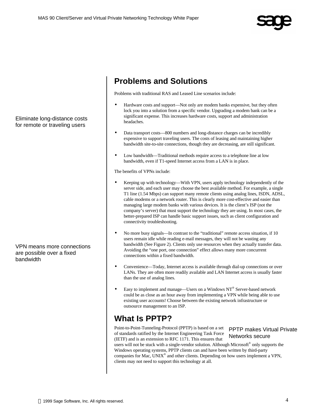

#### Eliminate long-distance costs for remote or traveling users

VPN means more connections are possible over a fixed bandwidth

#### **Problems and Solutions**

Problems with traditional RAS and Leased Line scenarios include:

- Hardware costs and support—Not only are modem banks expensive, but they often lock you into a solution from a specific vendor. Upgrading a modem bank can be a significant expense. This increases hardware costs, support and administration headaches.
- Data transport costs—800 numbers and long-distance charges can be incredibly expensive to support traveling users. The costs of leasing and maintaining higher bandwidth site-to-site connections, though they are decreasing, are still significant.
- Low bandwidth—Traditional methods require access to a telephone line at low bandwidth, even if T1-speed Internet access from a LAN is in place.

The benefits of VPNs include:

- Keeping up with technology—With VPN, users apply technology independently of the server side, and each user may choose the best available method. For example, a single T1 line (1.54 Mbps) can support many remote clients using analog lines, ISDN, ADSL, cable modems or a network router. This is clearly more cost-effective and easier than managing large modem banks with various devices. It is the client's ISP (not the company's server) that must support the technology they are using. In most cases, the better-prepared ISP can handle basic support issues, such as client configuration and connectivity troubleshooting.
- No more busy signals—In contrast to the "traditional" remote access situation, if 10 users remain idle while reading e-mail messages, they will not be wasting any bandwidth (See Figure 2). Clients only use resources when they actually transfer data. Avoiding the "one port, one connection" effect allows many more concurrent connections within a fixed bandwidth.
- Convenience—Today, Internet access is available through dial-up connections or over LANs. They are often more readily available and LAN Internet access is usually faster than the use of analog lines.
- Easy to implement and manage—Users on a Windows NT® Server-based network could be as close as an hour away from implementing a VPN while being able to use existing user accounts! Choose between the existing network infrastructure or outsource management to an ISP.

#### **What Is PPTP?**

clients may not need to support this technology at all.

Point-to-Point-Tunneling-Protocol (PPTP) is based on a set of standards ratified by the Internet Engineering Task Force (IETF) and is an extension to RFC 1171. This ensures that users will not be stuck with a single-vendor solution. Although Microsoft® only supports the Windows operating systems, PPTP clients can and have been written by third-party companies for Mac, UNIX<sup>®</sup> and other clients. Depending on how users implement a VPN, PPTP makes Virtual Private Networks secure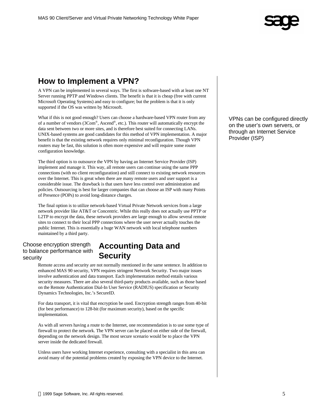

#### **How to Implement a VPN?**

A VPN can be implemented in several ways. The first is software-based with at least one NT Server running PPTP and Windows clients. The benefit is that it is cheap (free with current Microsoft Operating Systems) and easy to configure; but the problem is that it is only supported if the OS was written by Microsoft.

What if this is not good enough? Users can choose a hardware-based VPN router from any of a number of vendors (3Com®, Ascend®, etc.). This router will automatically encrypt the data sent between two or more sites, and is therefore best suited for connecting LANs. UNIX-based systems are good candidates for this method of VPN implementation. A major benefit is that the existing network requires only minimal reconfiguration. Though VPN routers may be fast, this solution is often more expensive and will require some router configuration knowledge.

The third option is to outsource the VPN by having an Internet Service Provider (ISP) implement and manage it. This way, all remote users can continue using the same PPP connections (with no client reconfiguration) and still connect to existing network resources over the Internet. This is great when there are many remote users and user support is a considerable issue. The drawback is that users have less control over administration and policies. Outsourcing is best for larger companies that can choose an ISP with many Points of Presence (POPs) to avoid long-distance charges.

The final option is to utilize network-based Virtual Private Network services from a large network provider like AT&T or Concentric. While this really does not actually use PPTP or L2TP to encrypt the data, these network providers are large enough to allow several remote sites to connect to their local PPP connections where the user never actually touches the public Internet. This is essentially a huge WAN network with local telephone numbers maintained by a third party.

#### Choose encryption strength to balance performance with security

#### **Accounting Data and Security**

Remote access and security are not normally mentioned in the same sentence. In addition to enhanced MAS 90 security, VPN requires stringent Network Security. Two major issues involve authentication and data transport. Each implementation method entails various security measures. There are also several third-party products available, such as those based on the Remote Authentication Dial-In User Service (RADIUS) specification or Security Dynamics Technologies, Inc.'s SecureID.

For data transport, it is vital that encryption be used. Encryption strength ranges from 40-bit (for best performance) to 128-bit (for maximum security), based on the specific implementation.

As with all servers having a route to the Internet, one recommendation is to use some type of firewall to protect the network. The VPN server can be placed on either side of the firewall, depending on the network design. The most secure scenario would be to place the VPN server inside the dedicated firewall.

Unless users have working Internet experience, consulting with a specialist in this area can avoid many of the potential problems created by exposing the VPN device to the Internet.

VPNs can be configured directly on the user's own servers, or through an Internet Service Provider (ISP)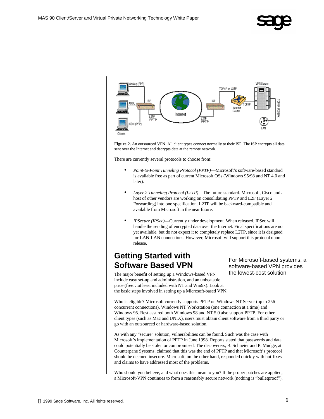



Figure 2. An outsourced VPN. All client types connect normally to their ISP. The ISP encrypts all data sent over the Internet and decrypts data at the remote network.

There are currently several protocols to choose from:

- *Point-to-Point Tunneling Protocol (PPTP)*—Microsoft's software-based standard is available free as part of current Microsoft OSs (Windows 95/98 and NT 4.0 and later).
- *Layer 2 Tunneling Protocol (L2TP)*—The future standard. Microsoft, Cisco and a host of other vendors are working on consolidating PPTP and L2F (Layer 2 Forwarding) into one specification. L2TP will be backward-compatible and available from Microsoft in the near future.
- *IPSecure (IPSec)*—Currently under development. When released, IPSec will handle the sending of encrypted data over the Internet. Final specifications are not yet available, but do not expect it to completely replace L2TP, since it is designed for LAN-LAN connections. However, Microsoft will support this protocol upon release.

#### **Getting Started with Software Based VPN**

The major benefit of setting up a Windows-based VPN include easy set-up and administration, and an unbeatable price (free…at least included with NT and Win9x). Look at the basic steps involved in setting up a Microsoft-based VPN.

For Microsoft-based systems, a software-based VPN provides the lowest-cost solution

Who is eligible? Microsoft currently supports PPTP on Windows NT Server (up to 256 concurrent connections), Windows NT Workstation (one connection at a time) and Windows 95. Rest assured both Windows 98 and NT 5.0 also support PPTP. For other client types (such as Mac and UNIX), users must obtain client software from a third party or go with an outsourced or hardware-based solution.

As with any "secure" solution, vulnerabilities can be found. Such was the case with Microsoft's implementation of PPTP in June 1998. Reports stated that passwords and data could potentially be stolen or compromised. The discoverers, B. Schneier and P. Mudge, at Counterpane Systems, claimed that this was the end of PPTP and that Microsoft's protocol should be deemed insecure. Microsoft, on the other hand, responded quickly with hot-fixes and claims to have addressed most of the problems.

Who should you believe, and what does this mean to you? If the proper patches are applied, a Microsoft-VPN continues to form a reasonably secure network (nothing is "bulletproof").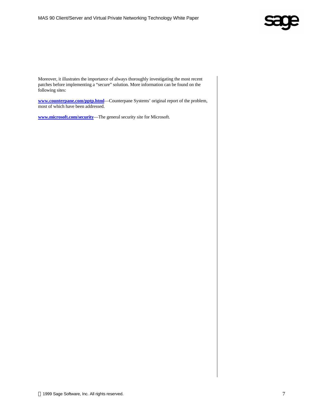

Moreover, it illustrates the importance of always thoroughly investigating the most recent patches before implementing a "secure" solution. More information can be found on the following sites:

**www.counterpane.com/pptp.html**—Counterpane Systems' original report of the problem, most of which have been addressed.

**www.microsoft.com/security**—The general security site for Microsoft.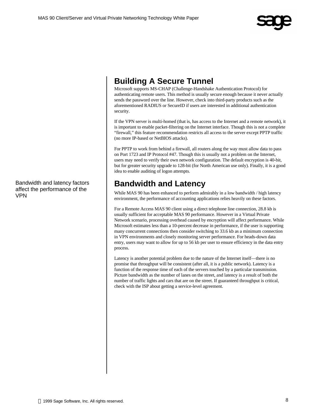

#### **Building A Secure Tunnel**

Microsoft supports MS-CHAP (Challenge-Handshake Authentication Protocol) for authenticating remote users. This method is usually secure enough because it never actually sends the password over the line. However, check into third-party products such as the aforementioned RADIUS or SecureID if users are interested in additional authentication security.

If the VPN server is multi-homed (that is, has access to the Internet and a remote network), it is important to enable packet-filtering on the Internet interface. Though this is not a complete "firewall," this feature recommendation restricts all access to the server except PPTP traffic (no more IP-based or NetBIOS attacks).

For PPTP to work from behind a firewall, all routers along the way must allow data to pass on Port 1723 and IP Protocol #47. Though this is usually not a problem on the Internet, users may need to verify their own network configuration. The default encryption is 40-bit, but for greater security upgrade to 128-bit (for North American use only). Finally, it is a good idea to enable auditing of logon attempts.

### **Bandwidth and Latency**

While MAS 90 has been enhanced to perform admirably in a low bandwidth / high latency environment, the performance of accounting applications relies heavily on these factors.

For a Remote Access MAS 90 client using a direct telephone line connection, 28.8 kb is usually sufficient for acceptable MAS 90 performance. However in a Virtual Private Network scenario, processing overhead caused by encryption will affect performance. While Microsoft estimates less than a 10-percent decrease in performance, if the user is supporting many concurrent connections then consider switching to 33.6 kb as a minimum connection in VPN environments and closely monitoring server performance. For heads-down data entry, users may want to allow for up to 56 kb per user to ensure efficiency in the data entry process.

Latency is another potential problem due to the nature of the Internet itself—there is no promise that throughput will be consistent (after all, it is a public network). Latency is a function of the response time of each of the servers touched by a particular transmission. Picture bandwidth as the number of lanes on the street, and latency is a result of both the number of traffic lights and cars that are on the street. If guaranteed throughput is critical, check with the ISP about getting a service-level agreement.

Bandwidth and latency factors affect the performance of the VPN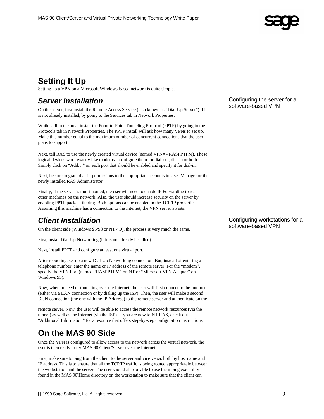

## **Setting It Up**

Setting up a VPN on a Microsoft Windows-based network is quite simple.

#### *Server Installation*

On the server, first install the Remote Access Service (also known as "Dial-Up Server") if it is not already installed, by going to the Services tab in Network Properties.

While still in the area, install the Point-to-Point Tunneling Protocol (PPTP) by going to the Protocols tab in Network Properties. The PPTP install will ask how many VPNs to set up. Make this number equal to the maximum number of concurrent connections that the user plans to support.

Next, tell RAS to use the newly created virtual device (named VPN# - RASPPTPM). These logical devices work exactly like modems—configure them for dial-out, dial-in or both. Simply click on "Add…" on each port that should be enabled and specify it for dial-in.

Next, be sure to grant dial-in permissions to the appropriate accounts in User Manager or the newly installed RAS Administrator.

Finally, if the server is multi-homed, the user will need to enable IP Forwarding to reach other machines on the network. Also, the user should increase security on the server by enabling PPTP packet-filtering. Both options can be enabled in the TCP/IP properties. Assuming this machine has a connection to the Internet, the VPN server awaits!

#### *Client Installation*

On the client side (Windows 95/98 or NT 4.0), the process is very much the same.

First, install Dial-Up Networking (if it is not already installed).

Next, install PPTP and configure at least one virtual port.

After rebooting, set up a new Dial-Up Networking connection. But, instead of entering a telephone number, enter the name or IP address of the remote server. For the "modem", specify the VPN Port (named "RASPPTPM" on NT or "Microsoft VPN Adapter" on Windows 95).

Now, when in need of tunneling over the Internet, the user will first connect to the Internet (either via a LAN connection or by dialing up the ISP). Then, the user will make a second DUN connection (the one with the IP Address) to the remote server and authenticate on the

remote server. Now, the user will be able to access the remote network resources (via the tunnel) as well as the Internet (via the ISP). If you are new to NT RAS, check out "Additional Information" for a resource that offers step-by-step configuration instructions.

#### **On the MAS 90 Side**

Once the VPN is configured to allow access to the network across the virtual network, the user is then ready to try MAS 90 Client/Server over the Internet.

First, make sure to ping from the client to the server and vice versa, both by host name and IP address. This is to ensure that all the TCP/IP traffic is being routed appropriately between the workstation and the server. The user should also be able to use the mping.exe utility found in the MAS 90\Home directory on the workstation to make sure that the client can

Configuring the server for a software-based VPN

Configuring workstations for a software-based VPN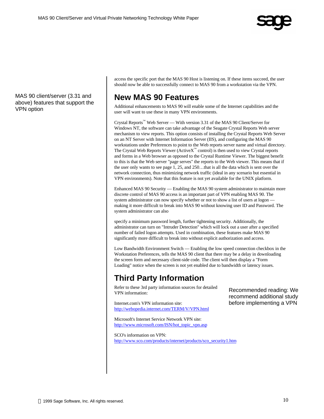

MAS 90 client/server (3.31 and above) features that support the VPN option

access the specific port that the MAS 90 Host is listening on. If these items succeed, the user should now be able to successfully connect to MAS 90 from a workstation via the VPN.

#### **New MAS 90 Features**

Additional enhancements to MAS 90 will enable some of the Internet capabilities and the user will want to use these in many VPN environments.

Crystal Reports™ Web Server — With version 3.31 of the MAS 90 Client/Server for Windows NT, the software can take advantage of the Seagate Crystal Reports Web server mechanism to view reports. This option consists of installing the Crystal Reports Web Server on an NT Server with Internet Information Server (IIS), and configuring the MAS 90 workstations under Preferences to point to the Web reports server name and virtual directory. The Crystal Web Reports Viewer (Active $X^{\mathbb{N}}$  control) is then used to view Crystal reports and forms in a Web browser as opposed to the Crystal Runtime Viewer. The biggest benefit to this is that the Web server "page serves" the reports to the Web viewer. This means that if the user only wants to see page 1, 25, and 250…that is all the data which is sent over the network connection, thus minimizing network traffic (ideal in any scenario but essential in VPN environments). Note that this feature is not yet available for the UNIX platform.

Enhanced MAS 90 Security — Enabling the MAS 90 system administrator to maintain more discrete control of MAS 90 access is an important part of VPN enabling MAS 90. The system administrator can now specify whether or not to show a list of users at logon making it more difficult to break into MAS 90 without knowing user ID and Password. The system administrator can also

specify a minimum password length, further tightening security. Additionally, the administrator can turn on "Intruder Detection" which will lock out a user after a specified number of failed logon attempts. Used in combination, these features make MAS 90 significantly more difficult to break into without explicit authorization and access.

Low Bandwidth Environment Switch — Enabling the low speed connection checkbox in the Workstation Preferences, tells the MAS 90 client that there may be a delay in downloading the screen form and necessary client-side code. The client will then display a "Form Loading" notice when the screen is not yet enabled due to bandwidth or latency issues.

#### **Third Party Information**

Refer to these 3rd party information sources for detailed VPN information:

Internet.com's VPN information site: http://webopedia.internet.com/TERM/V/VPN.html Recommended reading: We recommend additional study before implementing a VPN

Microsoft's Internet Service Network VPN site: http://www.microsoft.com/ISN/hot\_topic\_vpn.asp

SCO's information on VPN: http://www.sco.com/products/internet/products/sco\_security1.htm